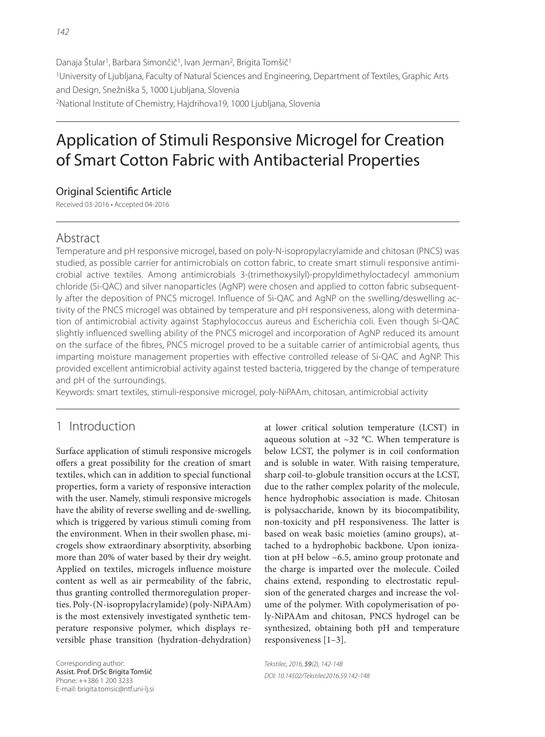Danaja Štular<sup>1</sup>, Barbara Simončič<sup>1</sup>, Ivan Jerman<sup>2</sup>, Brigita Tomšič<sup>1</sup> 1University of Ljubljana, Faculty of Natural Sciences and Engineering, Department of Textiles, Graphic Arts and Design, Snežniška 5, 1000 Ljubljana, Slovenia 2National Institute of Chemistry, Hajdrihova19, 1000 Ljubljana, Slovenia

# Application of Stimuli Responsive Microgel for Creation of Smart Cotton Fabric with Antibacterial Properties

### Original Scientific Article

Received 03-2016 • Accepted 04-2016

# Abstract

Temperature and pH responsive microgel, based on poly-N-isopropylacrylamide and chitosan (PNCS) was studied, as possible carrier for antimicrobials on cotton fabric, to create smart stimuli responsive antimicrobial active textiles. Among antimicrobials 3-(trimethoxysilyl)-propyldimethyloctadecyl ammonium chloride (Si-QAC) and silver nanoparticles (AgNP) were chosen and applied to cotton fabric subsequently after the deposition of PNCS microgel. Influence of Si-QAC and AgNP on the swelling/deswelling activity of the PNCS microgel was obtained by temperature and pH responsiveness, along with determination of antimicrobial activity against Staphylococcus aureus and Escherichia coli. Even though Si-QAC slightly influenced swelling ability of the PNCS microgel and incorporation of AgNP reduced its amount on the surface of the fibres, PNCS microgel proved to be a suitable carrier of antimicrobial agents, thus imparting moisture management properties with effective controlled release of Si-QAC and AgNP. This provided excellent antimicrobial activity against tested bacteria, triggered by the change of temperature and pH of the surroundings.

Keywords: smart textiles, stimuli-responsive microgel, poly-NiPAAm, chitosan, antimicrobial activity

# 1 Introduction

Surface application of stimuli responsive microgels offers a great possibility for the creation of smart textiles, which can in addition to special functional properties, form a variety of responsive interaction with the user. Namely, stimuli responsive microgels have the ability of reverse swelling and de-swelling, which is triggered by various stimuli coming from the environment. When in their swollen phase, microgels show extraordinary absorptivity, absorbing more than 20% of water based by their dry weight. Applied on textiles, microgels influence moisture content as well as air permeability of the fabric, thus granting controlled thermoregulation properties. Poly-(N-isopropylacrylamide) (poly-NiPAAm) is the most extensively investigated synthetic temperature responsive polymer, which displays reversible phase transition (hydration-dehydration)

Corresponding author: Assist. Prof. DrSc Brigita Tomšič Phone: ++386 1 200 3233 E-mail: brigita.tomsic@ntf.uni-lj.si at lower critical solution temperature (LCST) in aqueous solution at  $\sim$ 32 °C. When temperature is below LCST, the polymer is in coil conformation and is soluble in water. With raising temperature, sharp coil-to-globule transition occurs at the LCST, due to the rather complex polarity of the molecule, hence hydrophobic association is made. Chitosan is polysaccharide, known by its biocompatibility, non-toxicity and pH responsiveness. The latter is based on weak basic moieties (amino groups), attached to a hydrophobic backbone. Upon ionization at pH below ~6.5, amino group protonate and the charge is imparted over the molecule. Coiled chains extend, responding to electrostatic repulsion of the generated charges and increase the volume of the polymer. With copolymerisation of poly-NiPAAm and chitosan, PNCS hydrogel can be synthesized, obtaining both pH and temperature responsiveness [1–3].

Tekstilec, 2016, 59(2), 142-148 DOI: 10.14502/Tekstilec2016.59.142-148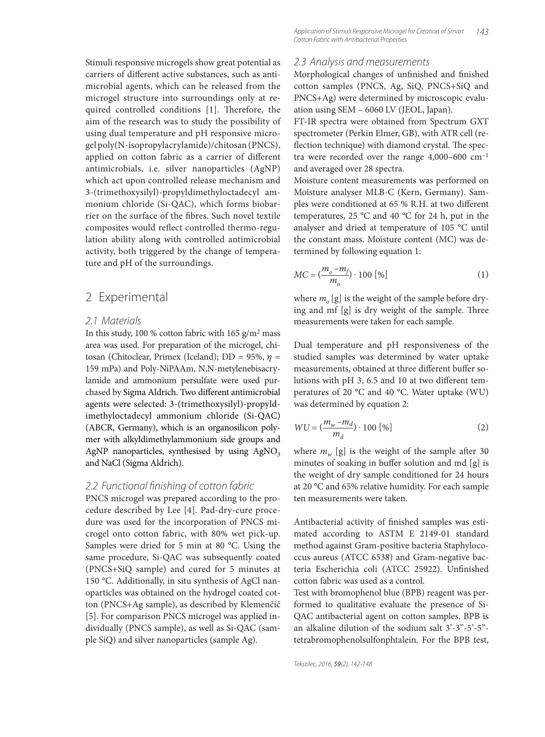Stimuli responsive microgels show great potential as carriers of different active substances, such as antimicrobial agents, which can be released from the microgel structure into surroundings only at required controlled conditions [1]. Therefore, the aim of the research was to study the possibility of using dual temperature and pH responsive microgel poly(N-isopropylacrylamide)/chitosan (PNCS), applied on cotton fabric as a carrier of different antimicrobials, i.e. silver nanoparticles (AgNP) which act upon controlled release mechanism and 3-(trimethoxysilyl)-propyldimethyloctadecyl ammonium chloride (Si-QAC), which forms biobarrier on the surface of the fibres. Such novel textile composites would reflect controlled thermo-regulation ability along with controlled antimicrobial activity, both triggered by the change of temperature and pH of the surroundings.

### 2 Experimental

### 2.1 Materials

In this study, 100 % cotton fabric with  $165$  g/m<sup>2</sup> mass area was used. For preparation of the microgel, chitosan (Chitoclear, Primex (Iceland); DD = 95%,  $\eta$  = 159 mPa) and Poly-NiPAAm, N,N-metylenebisacrylamide and ammonium persulfate were used purchased by Sigma Aldrich. Two different antimicrobial agents were selected: 3-(trimethoxysilyl)-propyldimethyloctadecyl ammonium chloride (Si-QAC) (ABCR, Germany), which is an organosilicon polymer with alkyldimethylammonium side groups and AgNP nanoparticles, synthesised by using  $AgNO<sub>3</sub>$ and NaCl (Sigma Aldrich).

### 2.2 Functional finishing of cotton fabric

PNCS microgel was prepared according to the procedure described by Lee [4]. Pad-dry-cure procedure was used for the incorporation of PNCS microgel onto cotton fabric, with 80% wet pick-up. Samples were dried for 5 min at 80 °C. Using the same procedure, Si-QAC was subsequently coated (PNCS+SiQ sample) and cured for 5 minutes at 150 °C. Additionally, in situ synthesis of AgCl nanoparticles was obtained on the hydrogel coated cotton (PNCS+Ag sample), as described by Klemenčič [5]. For comparison PNCS microgel was applied individually (PNCS sample), as well as Si-QAC (sample SiQ) and silver nanoparticles (sample Ag).

#### 2.3 Analysis and measurements

Morphological changes of unfinished and finished cotton samples (PNCS, Ag, SiQ, PNCS+SiQ and PNCS+Ag) were determined by microscopic evaluation using SEM – 6060 LV (JEOL, Japan).

FT-IR spectra were obtained from Spectrum GXT spectrometer (Perkin Elmer, GB), with ATR cell (reflection technique) with diamond crystal. The spectra were recorded over the range  $4,000-600$  cm<sup>-1</sup> and averaged over 28 spectra.

Moisture content measurements was performed on Moisture analyser MLB-C (Kern, Germany). Samples were conditioned at 65 % R.H. at two different temperatures, 25 °C and 40 °C for 24 h, put in the analyser and dried at temperature of 105 °C until the constant mass. Moisture content (MC) was determined by following equation 1:

$$
MC = \left(\frac{m_o - m_f}{m_o}\right) \cdot 100 \, [%]
$$
 (1)

where  $m_{o}$  [g] is the weight of the sample before drying and mf [g] is dry weight of the sample. Three measurements were taken for each sample.

Dual temperature and pH responsiveness of the studied samples was determined by water uptake measurements, obtained at three different buffer solutions with pH 3, 6.5 and 10 at two different temperatures of 20 °C and 40 °C. Water uptake (WU) was determined by equation 2:

$$
WU = \left(\frac{m_w - m_d}{m_d}\right) \cdot 100 \, [\%]
$$
 (2)

where  $m_w$  [g] is the weight of the sample after 30 minutes of soaking in buffer solution and md  $[g]$  is the weight of dry sample conditioned for 24 hours at 20 °C and 65% relative humidity. For each sample ten measurements were taken.

Antibacterial activity of finished samples was estimated according to ASTM E 2149-01 standard method against Gram-positive bacteria Staphylococcus aureus (ATCC 6538) and Gram-negative bacteria Escherichia coli (ATCC 25922). Unfinished cotton fabric was used as a control.

Test with bromophenol blue (BPB) reagent was performed to qualitative evaluate the presence of Si-QAC antibacterial agent on cotton samples. BPB is an alkaline dilution of the sodium salt 3'-3"-5'-5" tetrabromophenolsulfonphtalein. For the BPB test,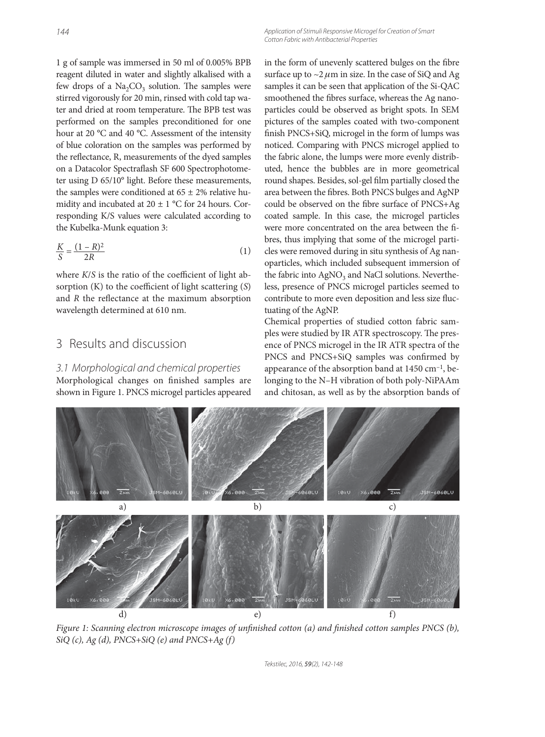1 g of sample was immersed in 50 ml of 0.005% BPB reagent diluted in water and slightly alkalised with a few drops of a  $Na<sub>2</sub>CO<sub>3</sub>$  solution. The samples were stirred vigorously for 20 min, rinsed with cold tap water and dried at room temperature. The BPB test was performed on the samples preconditioned for one hour at 20 °C and 40 °C. Assessment of the intensity of blue coloration on the samples was performed by the reflectance, R, measurements of the dyed samples on a Datacolor Spectraflash SF 600 Spectrophotometer using D 65/10° light. Before these measurements, the samples were conditioned at  $65 \pm 2\%$  relative humidity and incubated at  $20 \pm 1$  °C for 24 hours. Corresponding K/S values were calculated according to the Kubelka-Munk equation 3:

$$
\frac{K}{S} = \frac{(1 - R)^2}{2R} \tag{1}
$$

where  $K/S$  is the ratio of the coefficient of light absorption  $(K)$  to the coefficient of light scattering  $(S)$ and  $R$  the reflectance at the maximum absorption wavelength determined at 610 nm.

### 3 Results and discussion

3.1 Morphological and chemical properties Morphological changes on finished samples are shown in Figure 1. PNCS microgel particles appeared Application of Stimuli Responsive Microgel for Creation of Smart Cotton Fabric with Antibacterial Properties

in the form of unevenly scattered bulges on the fibre surface up to  $\sim$ 2  $\mu$ m in size. In the case of SiQ and Ag samples it can be seen that application of the Si-QAC smoothened the fibres surface, whereas the Ag nanoparticles could be observed as bright spots. In SEM pictures of the samples coated with two-component finish PNCS+SiQ, microgel in the form of lumps was noticed. Comparing with PNCS microgel applied to the fabric alone, the lumps were more evenly distributed, hence the bubbles are in more geometrical round shapes. Besides, sol-gel film partially closed the area between the fibres. Both PNCS bulges and AgNP could be observed on the fibre surface of PNCS+Ag coated sample. In this case, the microgel particles were more concentrated on the area between the fibres, thus implying that some of the microgel particles were removed during in situ synthesis of Ag nanoparticles, which included subsequent immersion of the fabric into AgNO<sub>3</sub> and NaCl solutions. Nevertheless, presence of PNCS microgel particles seemed to contribute to more even deposition and less size fluctuating of the AgNP.

Chemical properties of studied cotton fabric samples were studied by IR ATR spectroscopy. The presence of PNCS microgel in the IR ATR spectra of the PNCS and PNCS+SiQ samples was confirmed by appearance of the absorption band at 1450 cm–1, belonging to the N–H vibration of both poly-NiPAAm and chitosan, as well as by the absorption bands of

**JSM-6868LU** a) b) c)  $e)$  f)

Figure 1: Scanning electron microscope images of unfinished cotton (a) and finished cotton samples PNCS (b),  $SiQ(c)$ , Ag (d), PNCS+SiQ (e) and PNCS+Ag (f)

Tekstilec, 2016, 59(2), 142-148

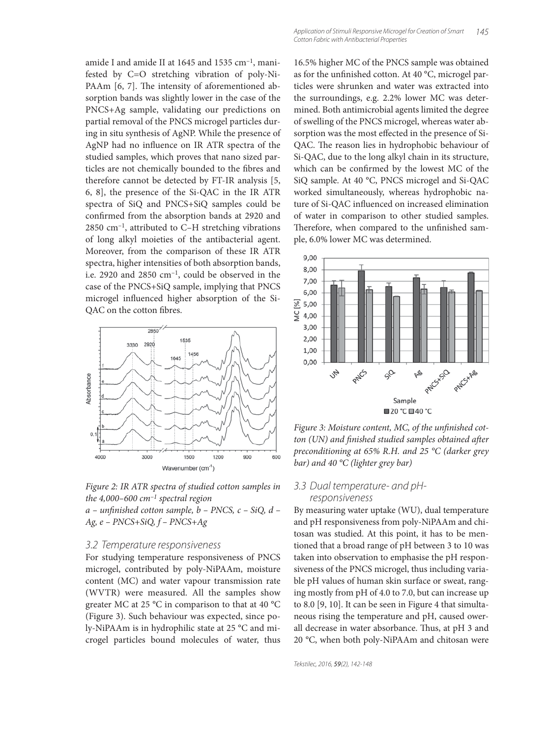amide I and amide II at 1645 and 1535 cm–1, manifested by C=O stretching vibration of poly-Ni-PAAm [6, 7]. The intensity of aforementioned absorption bands was slightly lower in the case of the PNCS+Ag sample, validating our predictions on partial removal of the PNCS microgel particles during in situ synthesis of AgNP. While the presence of AgNP had no influence on IR ATR spectra of the studied samples, which proves that nano sized particles are not chemically bounded to the fibres and therefore cannot be detected by FT-IR analysis [5, 6, 8], the presence of the Si-QAC in the IR ATR spectra of SiQ and PNCS+SiQ samples could be confirmed from the absorption bands at 2920 and  $2850$  cm<sup>-1</sup>, attributed to C-H stretching vibrations of long alkyl moieties of the antibacterial agent. Moreover, from the comparison of these IR ATR spectra, higher intensities of both absorption bands, i.e. 2920 and 2850 cm–1, could be observed in the case of the PNCS+SiQ sample, implying that PNCS microgel influenced higher absorption of the Si-QAC on the cotton fibres.



Figure 2: IR ATR spectra of studied cotton samples in the 4,000–600 cm<sup>-1</sup> spectral region

 $a$  – unfinished cotton sample,  $b$  – PNCS,  $c$  – SiQ,  $d$  – Ag, e – PNCS+SiQ, f – PNCS+Ag

#### 3.2 Temperature responsiveness

For studying temperature responsiveness of PNCS microgel, contributed by poly-NiPAAm, moisture content (MC) and water vapour transmission rate (WVTR) were measured. All the samples show greater MC at 25 °C in comparison to that at 40 °C (Figure 3). Such behaviour was expected, since poly-NiPAAm is in hydrophilic state at 25 °C and microgel particles bound molecules of water, thus

16.5% higher MC of the PNCS sample was obtained as for the unfinished cotton. At 40 °C, microgel particles were shrunken and water was extracted into the surroundings, e.g. 2.2% lower MC was determined. Both antimicrobial agents limited the degree of swelling of the PNCS microgel, whereas water absorption was the most effected in the presence of Si-QAC. The reason lies in hydrophobic behaviour of Si-QAC, due to the long alkyl chain in its structure, which can be confirmed by the lowest MC of the SiQ sample. At 40 °C, PNCS microgel and Si-QAC worked simultaneously, whereas hydrophobic nature of Si-QAC influenced on increased elimination of water in comparison to other studied samples. Therefore, when compared to the unfinished sample, 6.0% lower MC was determined.



Figure 3: Moisture content, MC, of the unfinished cotton (UN) and finished studied samples obtained after preconditioning at 65% R.H. and 25 °C (darker grey bar) and 40 °C (lighter grey bar)

#### 3.3 Dual temperature- and pHresponsiveness

By measuring water uptake (WU), dual temperature and pH responsiveness from poly-NiPAAm and chitosan was studied. At this point, it has to be mentioned that a broad range of pH between 3 to 10 was taken into observation to emphasise the pH responsiveness of the PNCS microgel, thus including variable pH values of human skin surface or sweat, ranging mostly from pH of 4.0 to 7.0, but can increase up to 8.0 [9, 10]. It can be seen in Figure 4 that simultaneous rising the temperature and pH, caused owerall decrease in water absorbance. Thus, at pH 3 and 20 °C, when both poly-NiPAAm and chitosan were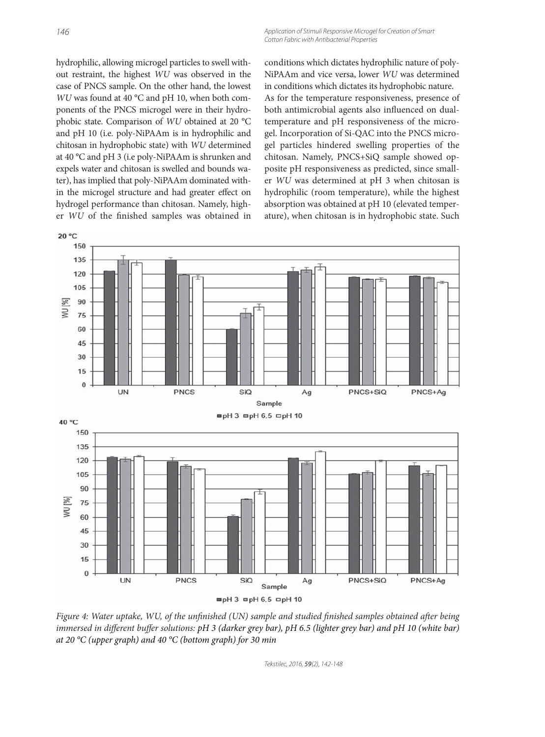Application of Stimuli Responsive Microgel for Creation of Smart Cotton Fabric with Antibacterial Properties

hydrophilic, allowing microgel particles to swell without restraint, the highest WU was observed in the case of PNCS sample. On the other hand, the lowest WU was found at 40 °C and pH 10, when both components of the PNCS microgel were in their hydrophobic state. Comparison of WU obtained at 20 °C and pH 10 (i.e. poly-NiPAAm is in hydrophilic and chitosan in hydrophobic state) with WU determined at 40 °C and pH 3 (i.e poly-NiPAAm is shrunken and expels water and chitosan is swelled and bounds water), has implied that poly-NiPAAm dominated within the microgel structure and had greater effect on hydrogel performance than chitosan. Namely, higher WU of the finished samples was obtained in

conditions which dictates hydrophilic nature of poly-NiPAAm and vice versa, lower WU was determined in conditions which dictates its hydrophobic nature. As for the temperature responsiveness, presence of both antimicrobial agents also influenced on dualtemperature and pH responsiveness of the microgel. Incorporation of Si-QAC into the PNCS microgel particles hindered swelling properties of the chitosan. Namely, PNCS+SiQ sample showed opposite pH responsiveness as predicted, since smaller WU was determined at pH 3 when chitosan is hydrophilic (room temperature), while the highest absorption was obtained at pH 10 (elevated temperature), when chitosan is in hydrophobic state. Such



Figure 4: Water uptake, WU, of the unfinished (UN) sample and studied finished samples obtained after being immersed in different buffer solutions:  $pH$  3 (darker grey bar),  $pH$  6.5 (lighter grey bar) and  $pH$  10 (white bar) at 20 °C (upper graph) and 40 °C (bottom graph) for 30 min

Tekstilec, 2016, 59(2), 142-148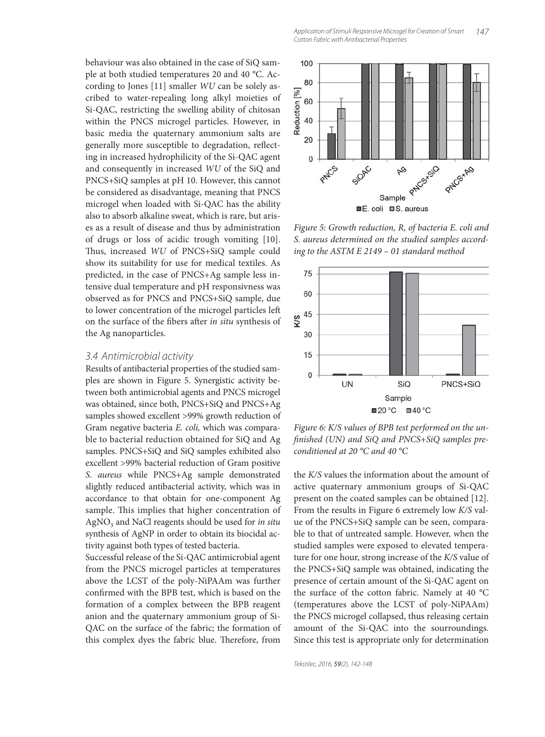behaviour was also obtained in the case of SiQ sample at both studied temperatures 20 and 40 °C. According to Jones [11] smaller WU can be solely ascribed to water-repealing long alkyl moieties of Si-QAC, restricting the swelling ability of chitosan within the PNCS microgel particles. However, in basic media the quaternary ammonium salts are generally more susceptible to degradation, reflecting in increased hydrophilicity of the Si-QAC agent and consequently in increased WU of the SiQ and PNCS+SiQ samples at pH 10. However, this cannot be considered as disadvantage, meaning that PNCS microgel when loaded with Si-QAC has the ability also to absorb alkaline sweat, which is rare, but arises as a result of disease and thus by administration of drugs or loss of acidic trough vomiting [10]. Thus, increased WU of PNCS+SiQ sample could show its suitability for use for medical textiles. As predicted, in the case of PNCS+Ag sample less intensive dual temperature and pH responsivness was observed as for PNCS and PNCS+SiQ sample, due to lower concentration of the microgel particles left on the surface of the fibers after in situ synthesis of the Ag nanoparticles.

#### 3.4 Antimicrobial activity

Results of antibacterial properties of the studied samples are shown in Figure 5. Synergistic activity between both antimicrobial agents and PNCS microgel was obtained, since both, PNCS+SiQ and PNCS+Ag samples showed excellent >99% growth reduction of Gram negative bacteria E. coli, which was comparable to bacterial reduction obtained for SiQ and Ag samples. PNCS+SiQ and SiQ samples exhibited also excellent >99% bacterial reduction of Gram positive S. aureus while PNCS+Ag sample demonstrated slightly reduced antibacterial activity, which was in accordance to that obtain for one-component Ag sample. This implies that higher concentration of  $AgNO<sub>3</sub>$  and NaCl reagents should be used for in situ synthesis of AgNP in order to obtain its biocidal activity against both types of tested bacteria.

Successful release of the Si-QAC antimicrobial agent from the PNCS microgel particles at temperatures above the LCST of the poly-NiPAAm was further confirmed with the BPB test, which is based on the formation of a complex between the BPB reagent anion and the quaternary ammonium group of Si-QAC on the surface of the fabric; the formation of this complex dyes the fabric blue. Therefore, from



Figure 5: Growth reduction, R, of bacteria E. coli and S. aureus determined on the studied samples according to the ASTM E 2149 – 01 standard method



Figure 6: K/S values of BPB test performed on the unfinished (UN) and SiQ and PNCS+SiQ samples preconditioned at 20 °C and 40 °C

the K/S values the information about the amount of active quaternary ammonium groups of Si-QAC present on the coated samples can be obtained [12]. From the results in Figure 6 extremely low K/S value of the PNCS+SiQ sample can be seen, comparable to that of untreated sample. However, when the studied samples were exposed to elevated temperature for one hour, strong increase of the K/S value of the PNCS+SiQ sample was obtained, indicating the presence of certain amount of the Si-QAC agent on the surface of the cotton fabric. Namely at 40 °C (temperatures above the LCST of poly-NiPAAm) the PNCS microgel collapsed, thus releasing certain amount of the Si-QAC into the sourroundings. Since this test is appropriate only for determination